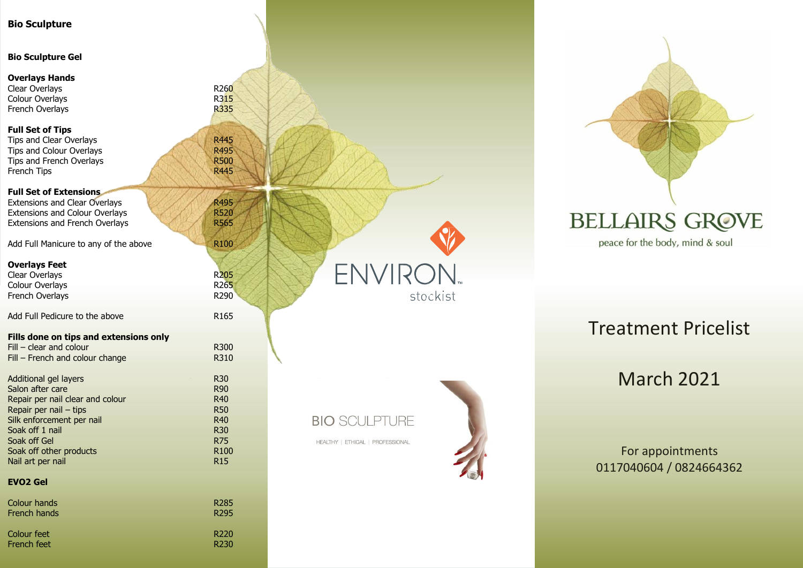